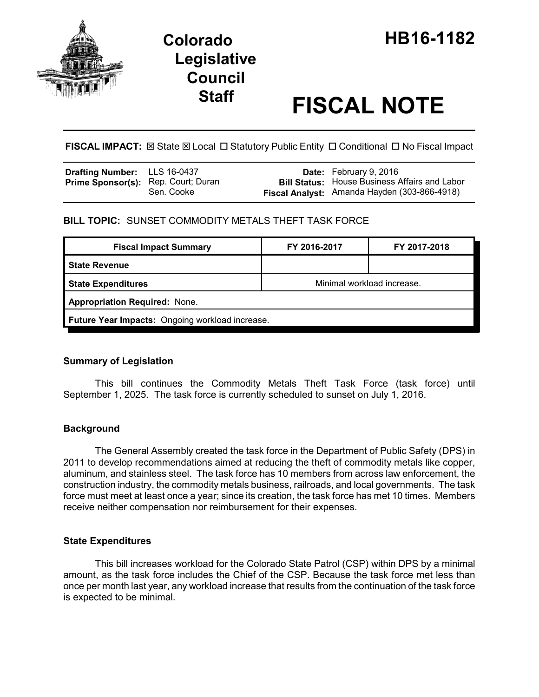

# **Staff FISCAL NOTE**

**FISCAL IMPACT:**  $\boxtimes$  State  $\boxtimes$  Local  $\Box$  Statutory Public Entity  $\Box$  Conditional  $\Box$  No Fiscal Impact

| <b>Drafting Number:</b> LLS 16-0437        |            | <b>Date:</b> February 9, 2016                        |
|--------------------------------------------|------------|------------------------------------------------------|
| <b>Prime Sponsor(s):</b> Rep. Court; Duran |            | <b>Bill Status:</b> House Business Affairs and Labor |
|                                            | Sen. Cooke | Fiscal Analyst: Amanda Hayden (303-866-4918)         |

**BILL TOPIC:** SUNSET COMMODITY METALS THEFT TASK FORCE

| <b>Fiscal Impact Summary</b>                    | FY 2016-2017               | FY 2017-2018 |  |  |  |
|-------------------------------------------------|----------------------------|--------------|--|--|--|
| l State Revenue                                 |                            |              |  |  |  |
| <b>State Expenditures</b>                       | Minimal workload increase. |              |  |  |  |
| <b>Appropriation Required: None.</b>            |                            |              |  |  |  |
| Future Year Impacts: Ongoing workload increase. |                            |              |  |  |  |

## **Summary of Legislation**

This bill continues the Commodity Metals Theft Task Force (task force) until September 1, 2025. The task force is currently scheduled to sunset on July 1, 2016.

## **Background**

The General Assembly created the task force in the Department of Public Safety (DPS) in 2011 to develop recommendations aimed at reducing the theft of commodity metals like copper, aluminum, and stainless steel. The task force has 10 members from across law enforcement, the construction industry, the commodity metals business, railroads, and local governments. The task force must meet at least once a year; since its creation, the task force has met 10 times. Members receive neither compensation nor reimbursement for their expenses.

## **State Expenditures**

This bill increases workload for the Colorado State Patrol (CSP) within DPS by a minimal amount, as the task force includes the Chief of the CSP. Because the task force met less than once per month last year, any workload increase that results from the continuation of the task force is expected to be minimal.